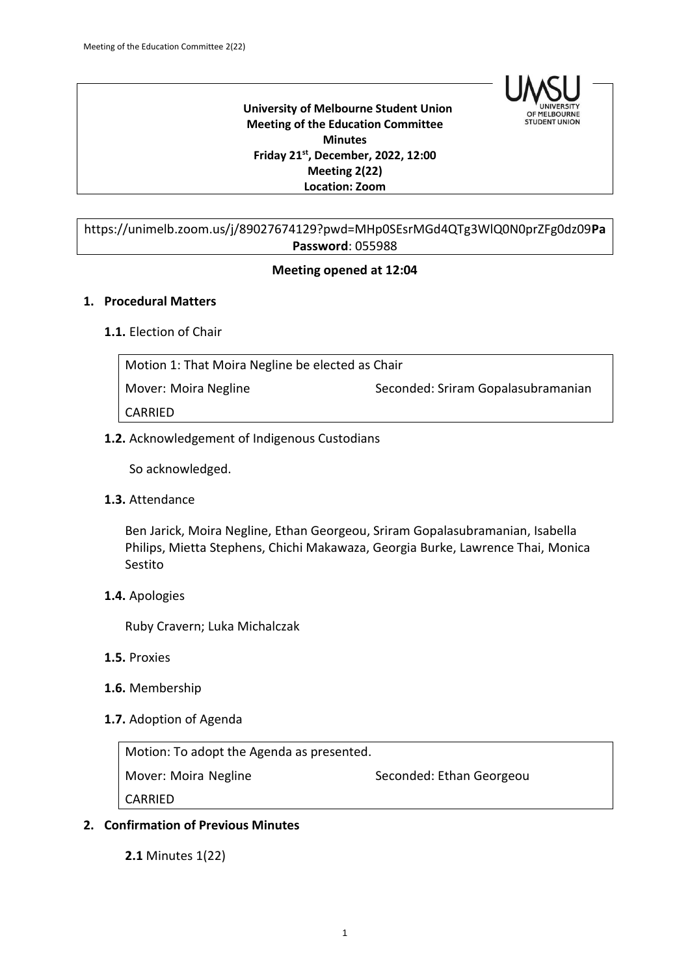

 **University of Melbourne Student Union Meeting of the Education Committee Minutes Friday 21st , December, 2022, 12:00 Meeting 2(22) Location: Zoom**

## https://unimelb.zoom.us/j/89027674129?pwd=MHp0SEsrMGd4QTg3WlQ0N0prZFg0dz09**Pa Password**: 055988

#### **Meeting opened at 12:04**

#### **1. Procedural Matters**

#### **1.1.** Election of Chair

| Motion 1: That Moira Negline be elected as Chair |                                    |  |
|--------------------------------------------------|------------------------------------|--|
| Mover: Moira Negline                             | Seconded: Sriram Gopalasubramanian |  |
| CARRIED                                          |                                    |  |

**1.2.** Acknowledgement of Indigenous Custodians

So acknowledged.

**1.3.** Attendance

Ben Jarick, Moira Negline, Ethan Georgeou, Sriram Gopalasubramanian, Isabella Philips, Mietta Stephens, Chichi Makawaza, Georgia Burke, Lawrence Thai, Monica Sestito

**1.4.** Apologies

Ruby Cravern; Luka Michalczak

- **1.5.** Proxies
- **1.6.** Membership
- **1.7.** Adoption of Agenda

Motion: To adopt the Agenda as presented.

Mover: Moira Negline Seconded: Ethan Georgeou

CARRIED

#### **2. Confirmation of Previous Minutes**

**2.1** Minutes 1(22)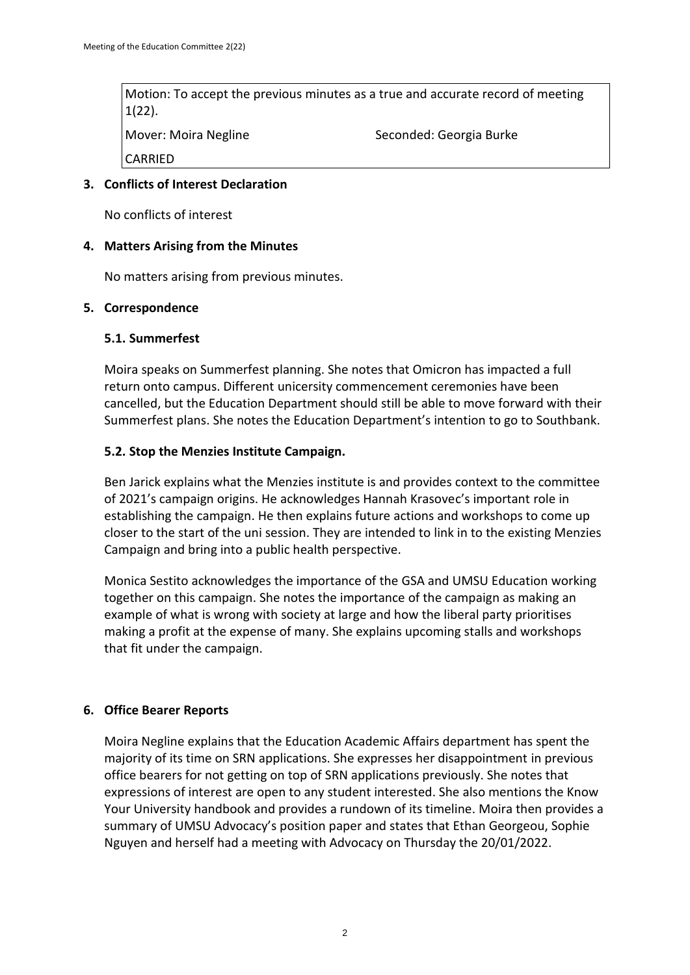Motion: To accept the previous minutes as a true and accurate record of meeting 1(22). Mover: Moira Negline Seconded: Georgia Burke CARRIED

## **3. Conflicts of Interest Declaration**

No conflicts of interest

#### **4. Matters Arising from the Minutes**

No matters arising from previous minutes.

#### **5. Correspondence**

#### **5.1. Summerfest**

Moira speaks on Summerfest planning. She notes that Omicron has impacted a full return onto campus. Different unicersity commencement ceremonies have been cancelled, but the Education Department should still be able to move forward with their Summerfest plans. She notes the Education Department's intention to go to Southbank.

#### **5.2. Stop the Menzies Institute Campaign.**

Ben Jarick explains what the Menzies institute is and provides context to the committee of 2021's campaign origins. He acknowledges Hannah Krasovec's important role in establishing the campaign. He then explains future actions and workshops to come up closer to the start of the uni session. They are intended to link in to the existing Menzies Campaign and bring into a public health perspective.

Monica Sestito acknowledges the importance of the GSA and UMSU Education working together on this campaign. She notes the importance of the campaign as making an example of what is wrong with society at large and how the liberal party prioritises making a profit at the expense of many. She explains upcoming stalls and workshops that fit under the campaign.

## **6. Office Bearer Reports**

Moira Negline explains that the Education Academic Affairs department has spent the majority of its time on SRN applications. She expresses her disappointment in previous office bearers for not getting on top of SRN applications previously. She notes that expressions of interest are open to any student interested. She also mentions the Know Your University handbook and provides a rundown of its timeline. Moira then provides a summary of UMSU Advocacy's position paper and states that Ethan Georgeou, Sophie Nguyen and herself had a meeting with Advocacy on Thursday the 20/01/2022.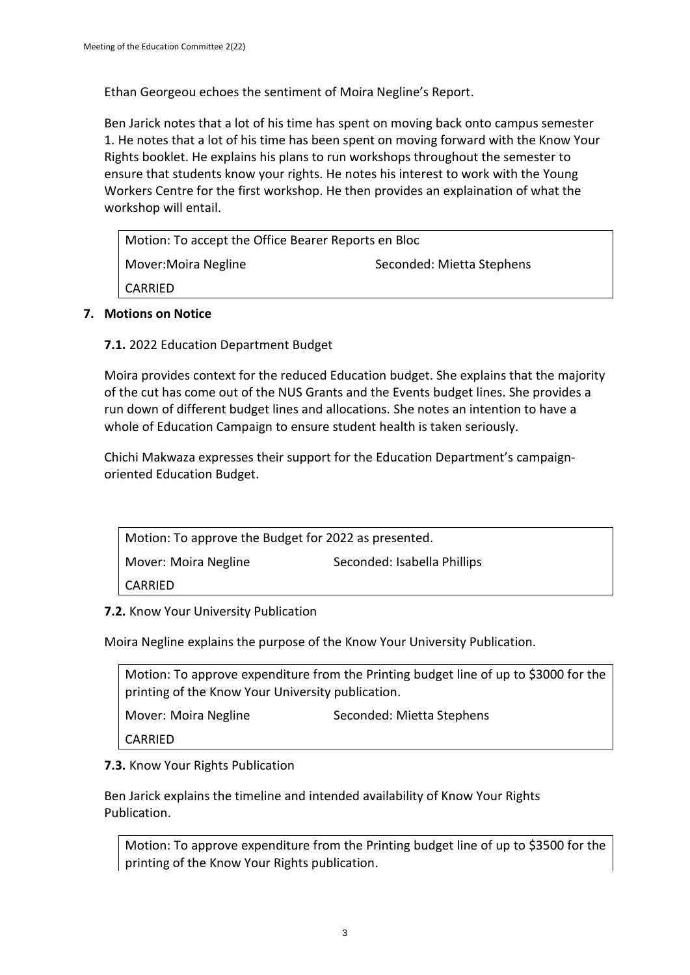Ethan Georgeou echoes the sentiment of Moira Negline's Report.

Ben Jarick notes that a lot of his time has spent on moving back onto campus semester 1. He notes that a lot of his time has been spent on moving forward with the Know Your Rights booklet. He explains his plans to run workshops throughout the semester to ensure that students know your rights. He notes his interest to work with the Young Workers Centre for the first workshop. He then provides an explaination of what the workshop will entail.

| Motion: To accept the Office Bearer Reports en Bloc |                           |
|-----------------------------------------------------|---------------------------|
| Mover: Moira Negline                                | Seconded: Mietta Stephens |
| CARRIED                                             |                           |
|                                                     |                           |

## **7. Motions on Notice**

**7.1.** 2022 Education Department Budget

Moira provides context for the reduced Education budget. She explains that the majority of the cut has come out of the NUS Grants and the Events budget lines. She provides a run down of different budget lines and allocations. She notes an intention to have a whole of Education Campaign to ensure student health is taken seriously.

Chichi Makwaza expresses their support for the Education Department's campaignoriented Education Budget.

| Motion: To approve the Budget for 2022 as presented. |                             |  |
|------------------------------------------------------|-----------------------------|--|
| Mover: Moira Negline                                 | Seconded: Isabella Phillips |  |
| CARRIED                                              |                             |  |

**7.2.** Know Your University Publication

Moira Negline explains the purpose of the Know Your University Publication.

| Motion: To approve expenditure from the Printing budget line of up to \$3000 for the<br>printing of the Know Your University publication. |                           |
|-------------------------------------------------------------------------------------------------------------------------------------------|---------------------------|
| Mover: Moira Negline                                                                                                                      | Seconded: Mietta Stephens |
| CARRIED                                                                                                                                   |                           |

# **7.3.** Know Your Rights Publication

Ben Jarick explains the timeline and intended availability of Know Your Rights Publication.

Motion: To approve expenditure from the Printing budget line of up to \$3500 for the printing of the Know Your Rights publication.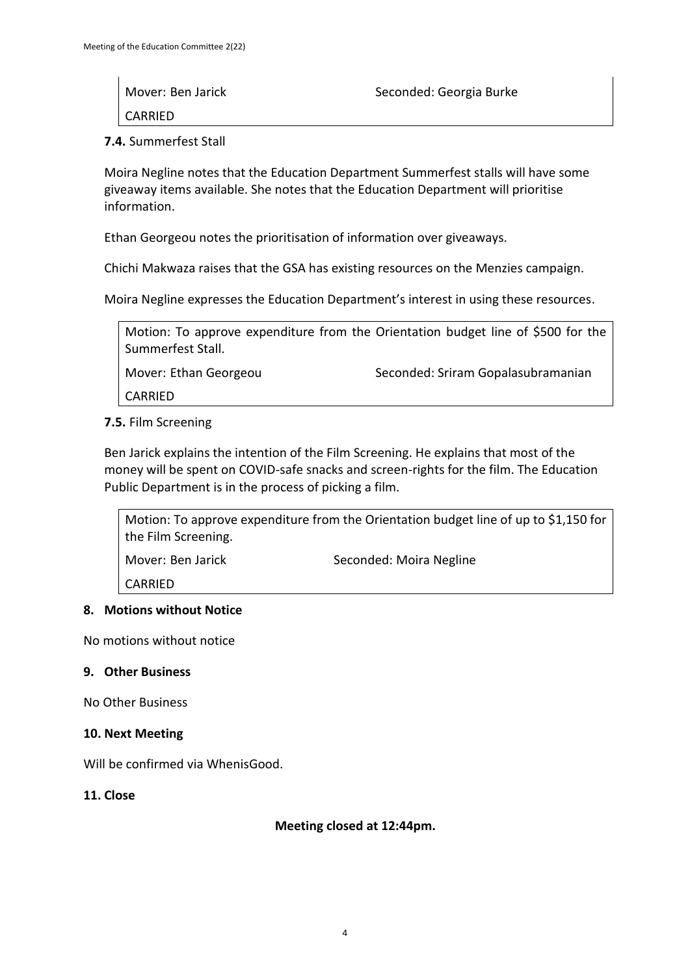| Mover: Ben Jarick | Seconded: Georgia Burke |
|-------------------|-------------------------|
| CARRIED           |                         |

**7.4.** Summerfest Stall

Moira Negline notes that the Education Department Summerfest stalls will have some giveaway items available. She notes that the Education Department will prioritise information.

Ethan Georgeou notes the prioritisation of information over giveaways.

Chichi Makwaza raises that the GSA has existing resources on the Menzies campaign.

Moira Negline expresses the Education Department's interest in using these resources.

Motion: To approve expenditure from the Orientation budget line of \$500 for the Summerfest Stall.

Mover: Ethan Georgeou Seconded: Sriram Gopalasubramanian

CARRIED

#### **7.5.** Film Screening

Ben Jarick explains the intention of the Film Screening. He explains that most of the money will be spent on COVID-safe snacks and screen-rights for the film. The Education Public Department is in the process of picking a film.

Motion: To approve expenditure from the Orientation budget line of up to \$1,150 for the Film Screening.

Mover: Ben Jarick Seconded: Moira Negline

CARRIED

#### **8. Motions without Notice**

No motions without notice

#### **9. Other Business**

No Other Business

#### **10. Next Meeting**

Will be confirmed via WhenisGood.

**11. Close**

#### **Meeting closed at 12:44pm.**